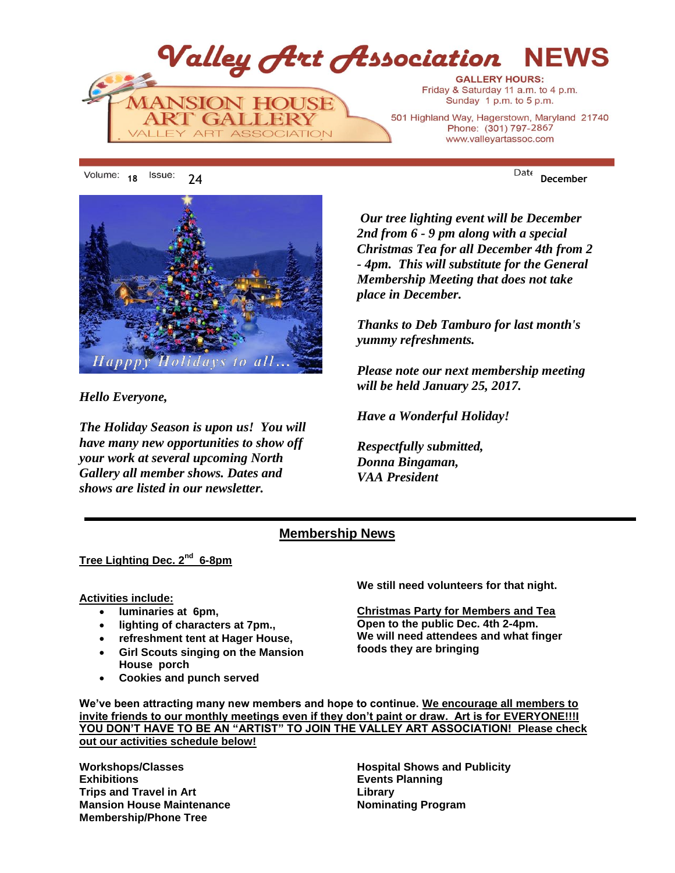



*Hello Everyone,*

*The Holiday Season is upon us! You will have many new opportunities to show off your work at several upcoming North Gallery all member shows. Dates and shows are listed in our newsletter.*

*Our tree lighting event will be December 2nd from 6 - 9 pm along with a special Christmas Tea for all December 4th from 2 - 4pm. This will substitute for the General Membership Meeting that does not take place in December.* 

*Thanks to Deb Tamburo for last month's yummy refreshments.*

*Please note our next membership meeting will be held January 25, 2017.*

*Have a Wonderful Holiday!*

*Respectfully submitted, Donna Bingaman, VAA President* 

## **Membership News**

## **Tree Lighting Dec. 2nd 6-8pm**

**Activities include:** 

- **luminaries at 6pm,**
- **lighting of characters at 7pm.,**
- **refreshment tent at Hager House,**
- **Girl Scouts singing on the Mansion House porch**
- **Cookies and punch served**

**We still need volunteers for that night.**

**Christmas Party for Members and Tea Open to the public Dec. 4th 2-4pm. We will need attendees and what finger foods they are bringing**

**We've been attracting many new members and hope to continue. We encourage all members to invite friends to our monthly meetings even if they don't paint or draw. Art is for EVERYONE!!!I YOU DON'T HAVE TO BE AN "ARTIST" TO JOIN THE VALLEY ART ASSOCIATION! Please check out our activities schedule below!**

**Workshops/Classes Exhibitions Trips and Travel in Art Mansion House Maintenance Membership/Phone Tree**

**Hospital Shows and Publicity Events Planning Library Nominating Program**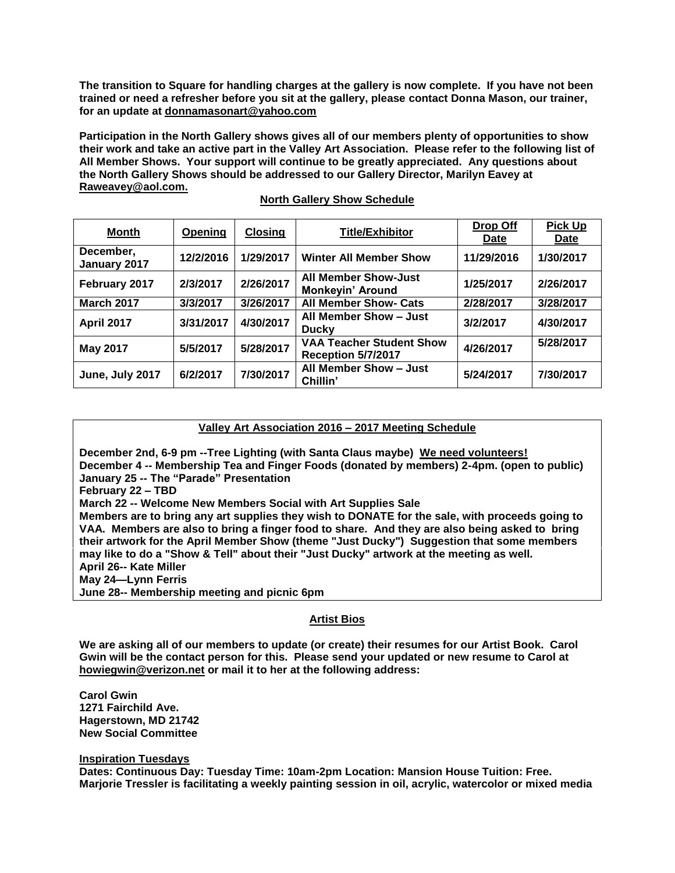**The transition to Square for handling charges at the gallery is now complete. If you have not been trained or need a refresher before you sit at the gallery, please contact Donna Mason, our trainer, for an update at donnamasonart@yahoo.com**

**Participation in the North Gallery shows gives all of our members plenty of opportunities to show their work and take an active part in the Valley Art Association. Please refer to the following list of All Member Shows. Your support will continue to be greatly appreciated. Any questions about the North Gallery Shows should be addressed to our Gallery Director, Marilyn Eavey at Raweavey@aol.com.**

| <b>Month</b>              | Opening   | <b>Closing</b> | <b>Title/Exhibitor</b>                                 | <b>Drop Off</b><br><b>Date</b> | <b>Pick Up</b><br><b>Date</b> |
|---------------------------|-----------|----------------|--------------------------------------------------------|--------------------------------|-------------------------------|
| December,<br>January 2017 | 12/2/2016 | 1/29/2017      | <b>Winter All Member Show</b>                          | 11/29/2016                     | 1/30/2017                     |
| February 2017             | 2/3/2017  | 2/26/2017      | <b>All Member Show-Just</b><br><b>Monkeyin' Around</b> | 1/25/2017                      | 2/26/2017                     |
| <b>March 2017</b>         | 3/3/2017  | 3/26/2017      | <b>All Member Show- Cats</b>                           | 2/28/2017                      | 3/28/2017                     |
| <b>April 2017</b>         | 3/31/2017 | 4/30/2017      | All Member Show - Just<br><b>Ducky</b>                 | 3/2/2017                       | 4/30/2017                     |
| <b>May 2017</b>           | 5/5/2017  | 5/28/2017      | <b>VAA Teacher Student Show</b><br>Reception 5/7/2017  | 4/26/2017                      | 5/28/2017                     |
| June, July 2017           | 6/2/2017  | 7/30/2017      | All Member Show - Just<br>Chillin'                     | 5/24/2017                      | 7/30/2017                     |

## **North Gallery Show Schedule**

#### **Valley Art Association 2016 – 2017 Meeting Schedule**

**December 2nd, 6-9 pm --Tree Lighting (with Santa Claus maybe) We need volunteers! December 4 -- Membership Tea and Finger Foods (donated by members) 2-4pm. (open to public) January 25 -- The "Parade" Presentation**

**February 22 – TBD**

**March 22 -- Welcome New Members Social with Art Supplies Sale**

**Members are to bring any art supplies they wish to DONATE for the sale, with proceeds going to VAA. Members are also to bring a finger food to share. And they are also being asked to bring their artwork for the April Member Show (theme "Just Ducky") Suggestion that some members may like to do a "Show & Tell" about their "Just Ducky" artwork at the meeting as well. April 26-- Kate Miller**

**May 24—Lynn Ferris**

**June 28-- Membership meeting and picnic 6pm**

## **Artist Bios**

**We are asking all of our members to update (or create) their resumes for our Artist Book. Carol Gwin will be the contact person for this. Please send your updated or new resume to Carol at howiegwin@verizon.net or mail it to her at the following address:**

**Carol Gwin 1271 Fairchild Ave. Hagerstown, MD 21742 New Social Committee**

**Inspiration Tuesdays**

**Dates: Continuous Day: Tuesday Time: 10am-2pm Location: Mansion House Tuition: Free. Marjorie Tressler is facilitating a weekly painting session in oil, acrylic, watercolor or mixed media**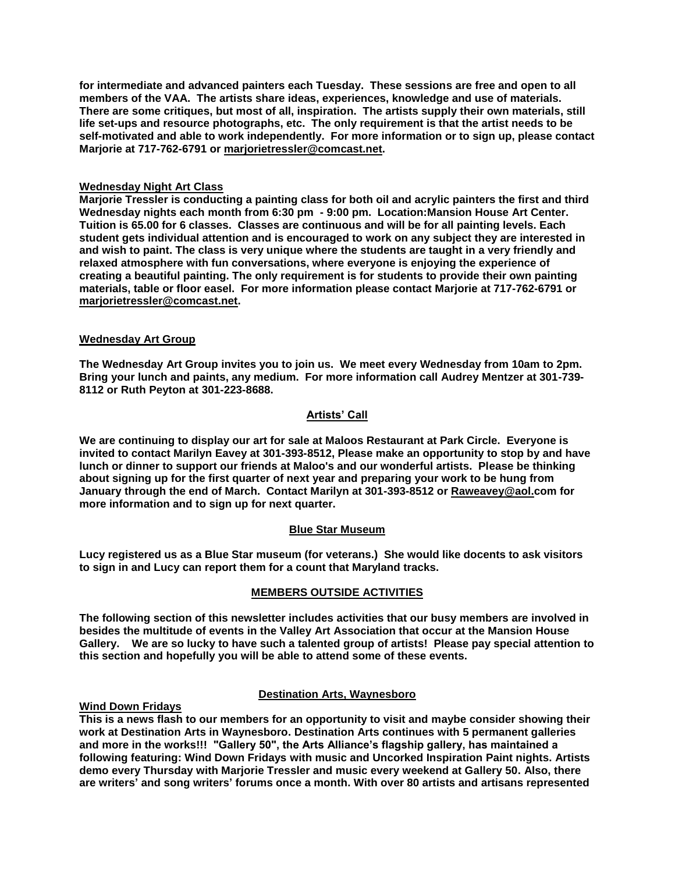**for intermediate and advanced painters each Tuesday. These sessions are free and open to all members of the VAA. The artists share ideas, experiences, knowledge and use of materials. There are some critiques, but most of all, inspiration. The artists supply their own materials, still life set-ups and resource photographs, etc. The only requirement is that the artist needs to be self-motivated and able to work independently. For more information or to sign up, please contact Marjorie at 717-762-6791 or [marjorietressler@comcast.net.](mailto:marjorietressler@comcast.net)**

#### **Wednesday Night Art Class**

**Marjorie Tressler is conducting a painting class for both oil and acrylic painters the first and third Wednesday nights each month from 6:30 pm - 9:00 pm. Location:Mansion House Art Center. Tuition is 65.00 for 6 classes. Classes are continuous and will be for all painting levels. Each student gets individual attention and is encouraged to work on any subject they are interested in and wish to paint. The class is very unique where the students are taught in a very friendly and relaxed atmosphere with fun conversations, where everyone is enjoying the experience of creating a beautiful painting. The only requirement is for students to provide their own painting materials, table or floor easel. For more information please contact Marjorie at 717-762-6791 or [marjorietressler@comcast.net.](mailto:marjorietressler@comcast.net)**

#### **Wednesday Art Group**

**The Wednesday Art Group invites you to join us. We meet every Wednesday from 10am to 2pm. Bring your lunch and paints, any medium. For more information call Audrey Mentzer at 301-739- 8112 or Ruth Peyton at 301-223-8688.**

## **Artists' Call**

**We are continuing to display our art for sale at Maloos Restaurant at Park Circle. Everyone is invited to contact Marilyn Eavey at 301-393-8512, Please make an opportunity to stop by and have lunch or dinner to support our friends at Maloo's and our wonderful artists. Please be thinking about signing up for the first quarter of next year and preparing your work to be hung from January through the end of March. Contact Marilyn at 301-393-8512 or [Raweavey@aol.com](mailto:Raweavey@aol.com) for more information and to sign up for next quarter.**

#### **Blue Star Museum**

**Lucy registered us as a Blue Star museum (for veterans.) She would like docents to ask visitors to sign in and Lucy can report them for a count that Maryland tracks.** 

#### **MEMBERS OUTSIDE ACTIVITIES**

**The following section of this newsletter includes activities that our busy members are involved in besides the multitude of events in the Valley Art Association that occur at the Mansion House Gallery. We are so lucky to have such a talented group of artists! Please pay special attention to this section and hopefully you will be able to attend some of these events.**

#### **Destination Arts, Waynesboro**

## **Wind Down Fridays**

**This is a news flash to our members for an opportunity to visit and maybe consider showing their work at Destination Arts in Waynesboro. Destination Arts continues with 5 permanent galleries and more in the works!!! "Gallery 50", the Arts Alliance's flagship gallery, has maintained a following featuring: Wind Down Fridays with music and Uncorked Inspiration Paint nights. Artists demo every Thursday with Marjorie Tressler and music every weekend at Gallery 50. Also, there are writers' and song writers' forums once a month. With over 80 artists and artisans represented**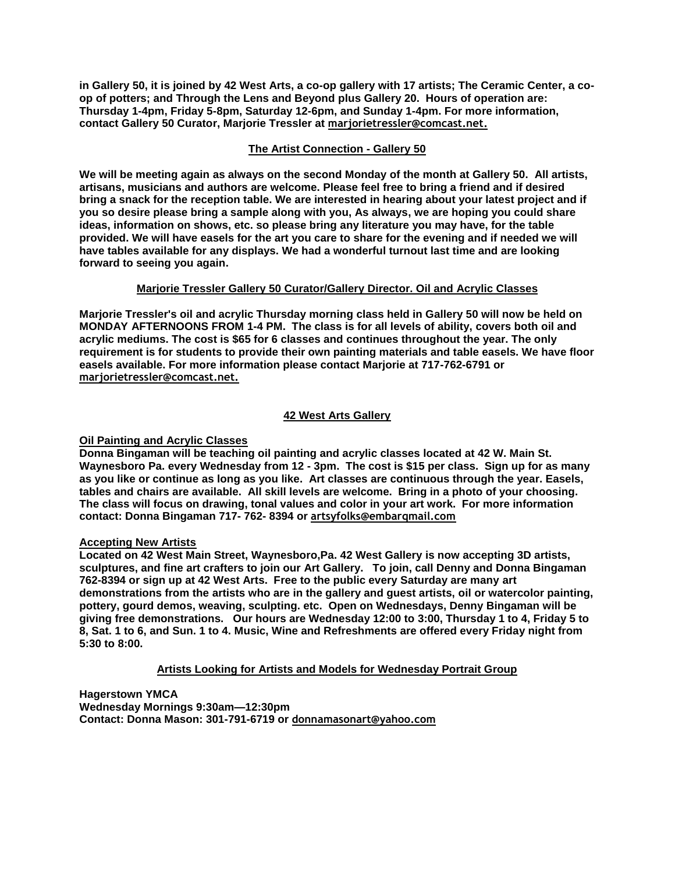**in Gallery 50, it is joined by 42 West Arts, a co-op gallery with 17 artists; The Ceramic Center, a coop of potters; and Through the Lens and Beyond plus Gallery 20. Hours of operation are: Thursday 1-4pm, Friday 5-8pm, Saturday 12-6pm, and Sunday 1-4pm. For more information, contact Gallery 50 Curator, Marjorie Tressler at [marjorietressler@comcast.net.](mailto:marjorietressler@comcast.net)**

## **The Artist Connection - Gallery 50**

**We will be meeting again as always on the second Monday of the month at Gallery 50. All artists, artisans, musicians and authors are welcome. Please feel free to bring a friend and if desired bring a snack for the reception table. We are interested in hearing about your latest project and if you so desire please bring a sample along with you, As always, we are hoping you could share ideas, information on shows, etc. so please bring any literature you may have, for the table provided. We will have easels for the art you care to share for the evening and if needed we will have tables available for any displays. We had a wonderful turnout last time and are looking forward to seeing you again.**

## **Marjorie Tressler Gallery 50 Curator/Gallery Director. Oil and Acrylic Classes**

**Marjorie Tressler's oil and acrylic Thursday morning class held in Gallery 50 will now be held on MONDAY AFTERNOONS FROM 1-4 PM. The class is for all levels of ability, covers both oil and acrylic mediums. The cost is \$65 for 6 classes and continues throughout the year. The only requirement is for students to provide their own painting materials and table easels. We have floor easels available. For more information please contact Marjorie at 717-762-6791 or marjorietressler@comcast.net.** 

## **42 West Arts Gallery**

### **Oil Painting and Acrylic Classes**

**Donna Bingaman will be teaching oil painting and acrylic classes located at 42 W. Main St. Waynesboro Pa. every Wednesday from 12 - 3pm. The cost is \$15 per class. Sign up for as many as you like or continue as long as you like. Art classes are continuous through the year. Easels, tables and chairs are available. All skill levels are welcome. Bring in a photo of your choosing. The class will focus on drawing, tonal values and color in your art work. For more information contact: Donna Bingaman 717- 762- 8394 or artsyfolks@embarqmail.com**

#### **Accepting New Artists**

**Located on 42 West Main Street, Waynesboro,Pa. 42 West Gallery is now accepting 3D artists, sculptures, and fine art crafters to join our Art Gallery. To join, call Denny and Donna Bingaman 762-8394 or sign up at 42 West Arts. Free to the public every Saturday are many art demonstrations from the artists who are in the gallery and guest artists, oil or watercolor painting, pottery, gourd demos, weaving, sculpting. etc. Open on Wednesdays, Denny Bingaman will be giving free demonstrations. Our hours are Wednesday 12:00 to 3:00, Thursday 1 to 4, Friday 5 to 8, Sat. 1 to 6, and Sun. 1 to 4. Music, Wine and Refreshments are offered every Friday night from 5:30 to 8:00.**

#### **Artists Looking for Artists and Models for Wednesday Portrait Group**

**Hagerstown YMCA Wednesday Mornings 9:30am—12:30pm Contact: Donna Mason: 301-791-6719 or [donnamasonart@yahoo.com](mailto:donnamasonart@yahoo.com)**